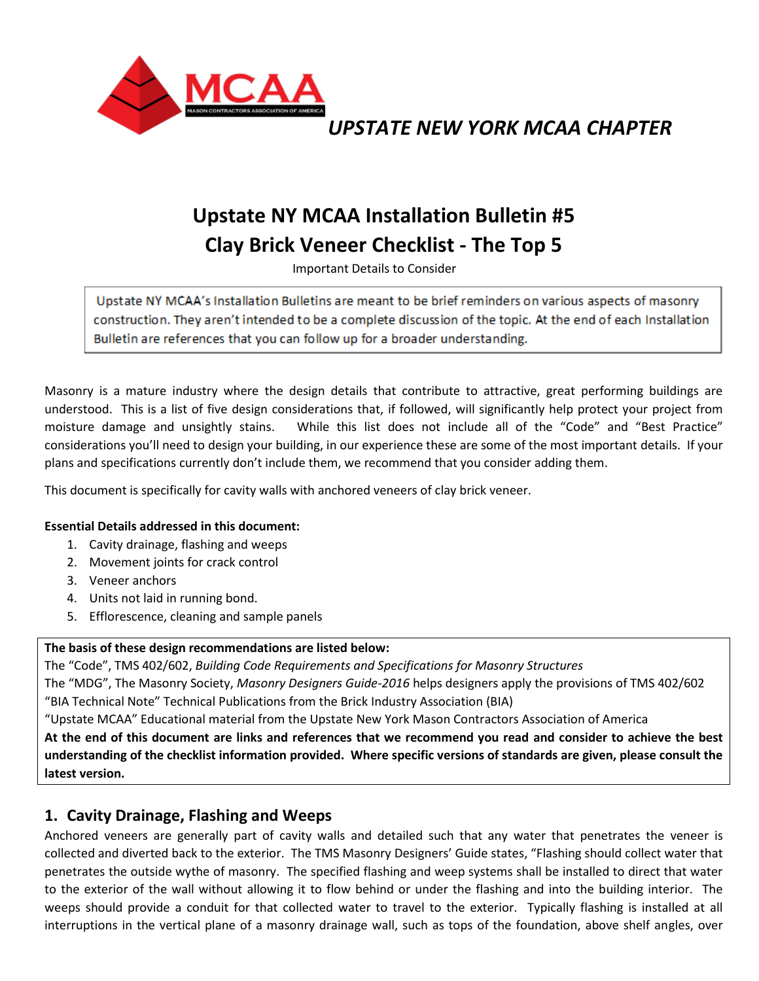

## *UPSTATE NEW YORK MCAA CHAPTER*

# **Upstate NY MCAA Installation Bulletin #5 Clay Brick Veneer Checklist - The Top 5**

Important Details to Consider

Upstate NY MCAA's Installation Bulletins are meant to be brief reminders on various aspects of masonry construction. They aren't intended to be a complete discussion of the topic. At the end of each Installation Bulletin are references that you can follow up for a broader understanding.

Masonry is a mature industry where the design details that contribute to attractive, great performing buildings are understood. This is a list of five design considerations that, if followed, will significantly help protect your project from moisture damage and unsightly stains. While this list does not include all of the "Code" and "Best Practice" considerations you'll need to design your building, in our experience these are some of the most important details. If your plans and specifications currently don't include them, we recommend that you consider adding them.

This document is specifically for cavity walls with anchored veneers of clay brick veneer.

#### **Essential Details addressed in this document:**

- 1. Cavity drainage, flashing and weeps
- 2. Movement joints for crack control
- 3. Veneer anchors
- 4. Units not laid in running bond.
- 5. Efflorescence, cleaning and sample panels

#### **The basis of these design recommendations are listed below:**

The "Code", TMS 402/602, *Building Code Requirements and Specifications for Masonry Structures*

The "MDG", The Masonry Society, *Masonry Designers Guide-2016* helps designers apply the provisions of TMS 402/602

"BIA Technical Note" Technical Publications from the Brick Industry Association (BIA)

"Upstate MCAA" Educational material from the Upstate New York Mason Contractors Association of America

**At the end of this document are links and references that we recommend you read and consider to achieve the best understanding of the checklist information provided. Where specific versions of standards are given, please consult the latest version.**

### **1. Cavity Drainage, Flashing and Weeps**

Anchored veneers are generally part of cavity walls and detailed such that any water that penetrates the veneer is collected and diverted back to the exterior. The TMS Masonry Designers' Guide states, "Flashing should collect water that penetrates the outside wythe of masonry. The specified flashing and weep systems shall be installed to direct that water to the exterior of the wall without allowing it to flow behind or under the flashing and into the building interior. The weeps should provide a conduit for that collected water to travel to the exterior. Typically flashing is installed at all interruptions in the vertical plane of a masonry drainage wall, such as tops of the foundation, above shelf angles, over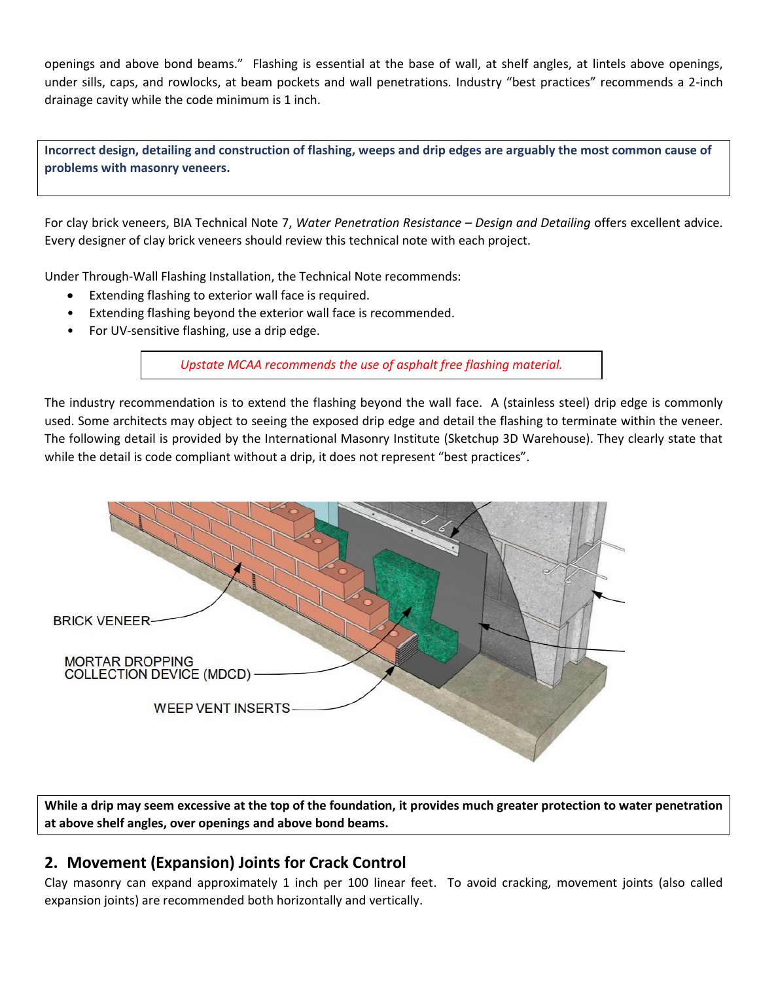openings and above bond beams." Flashing is essential at the base of wall, at shelf angles, at lintels above openings, under sills, caps, and rowlocks, at beam pockets and wall penetrations. Industry "best practices" recommends a 2-inch drainage cavity while the code minimum is 1 inch.

**Incorrect design, detailing and construction of flashing, weeps and drip edges are arguably the most common cause of problems with masonry veneers.**

For clay brick veneers, BIA Technical Note 7, *Water Penetration Resistance – Design and Detailing* offers excellent advice. Every designer of clay brick veneers should review this technical note with each project.

Under Through-Wall Flashing Installation, the Technical Note recommends:

- Extending flashing to exterior wall face is required.
- Extending flashing beyond the exterior wall face is recommended.
- For UV-sensitive flashing, use a drip edge.

*Upstate MCAA recommends the use of asphalt free flashing material.*

The industry recommendation is to extend the flashing beyond the wall face. A (stainless steel) drip edge is commonly used. Some architects may object to seeing the exposed drip edge and detail the flashing to terminate within the veneer. The following detail is provided by the International Masonry Institute (Sketchup 3D Warehouse). They clearly state that while the detail is code compliant without a drip, it does not represent "best practices".



**While a drip may seem excessive at the top of the foundation, it provides much greater protection to water penetration at above shelf angles, over openings and above bond beams.** 

### **2. Movement (Expansion) Joints for Crack Control**

Clay masonry can expand approximately 1 inch per 100 linear feet. To avoid cracking, movement joints (also called expansion joints) are recommended both horizontally and vertically.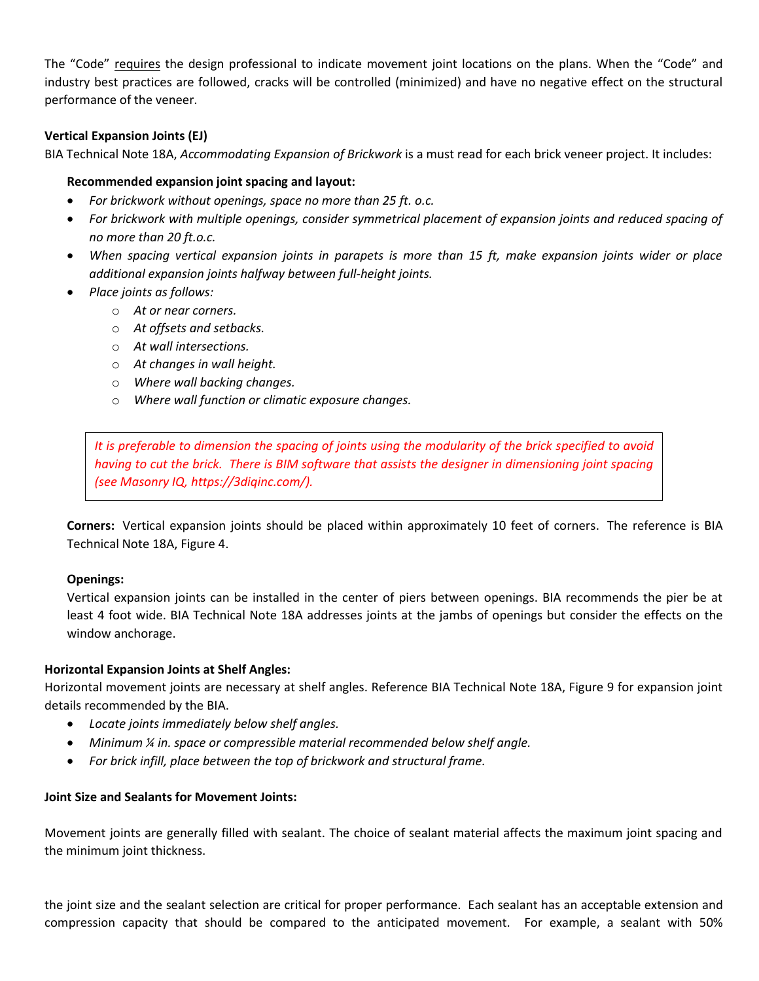The "Code" requires the design professional to indicate movement joint locations on the plans. When the "Code" and industry best practices are followed, cracks will be controlled (minimized) and have no negative effect on the structural performance of the veneer.

### **Vertical Expansion Joints (EJ)**

BIA Technical Note 18A, *Accommodating Expansion of Brickwork* is a must read for each brick veneer project. It includes:

#### **Recommended expansion joint spacing and layout:**

- *For brickwork without openings, space no more than 25 ft. o.c.*
- *For brickwork with multiple openings, consider symmetrical placement of expansion joints and reduced spacing of no more than 20 ft.o.c.*
- *When spacing vertical expansion joints in parapets is more than 15 ft, make expansion joints wider or place additional expansion joints halfway between full-height joints.*
- *Place joints as follows:*
	- o *At or near corners.*
	- o *At offsets and setbacks.*
	- o *At wall intersections.*
	- o *At changes in wall height.*
	- o *Where wall backing changes.*
	- o *Where wall function or climatic exposure changes.*

*It is preferable to dimension the spacing of joints using the modularity of the brick specified to avoid having to cut the brick. There is BIM software that assists the designer in dimensioning joint spacing (see Masonry IQ, https://3diqinc.com/).*

**Corners:** Vertical expansion joints should be placed within approximately 10 feet of corners. The reference is BIA Technical Note 18A, Figure 4.

#### **Openings:**

Vertical expansion joints can be installed in the center of piers between openings. BIA recommends the pier be at least 4 foot wide. BIA Technical Note 18A addresses joints at the jambs of openings but consider the effects on the window anchorage.

#### **Horizontal Expansion Joints at Shelf Angles:**

Horizontal movement joints are necessary at shelf angles. Reference BIA Technical Note 18A, Figure 9 for expansion joint details recommended by the BIA.

- *Locate joints immediately below shelf angles.*
- *Minimum ¼ in. space or compressible material recommended below shelf angle.*
- *For brick infill, place between the top of brickwork and structural frame.*

#### **Joint Size and Sealants for Movement Joints:**

Movement joints are generally filled with sealant. The choice of sealant material affects the maximum joint spacing and the minimum joint thickness.

the joint size and the sealant selection are critical for proper performance. Each sealant has an acceptable extension and compression capacity that should be compared to the anticipated movement. For example, a sealant with 50%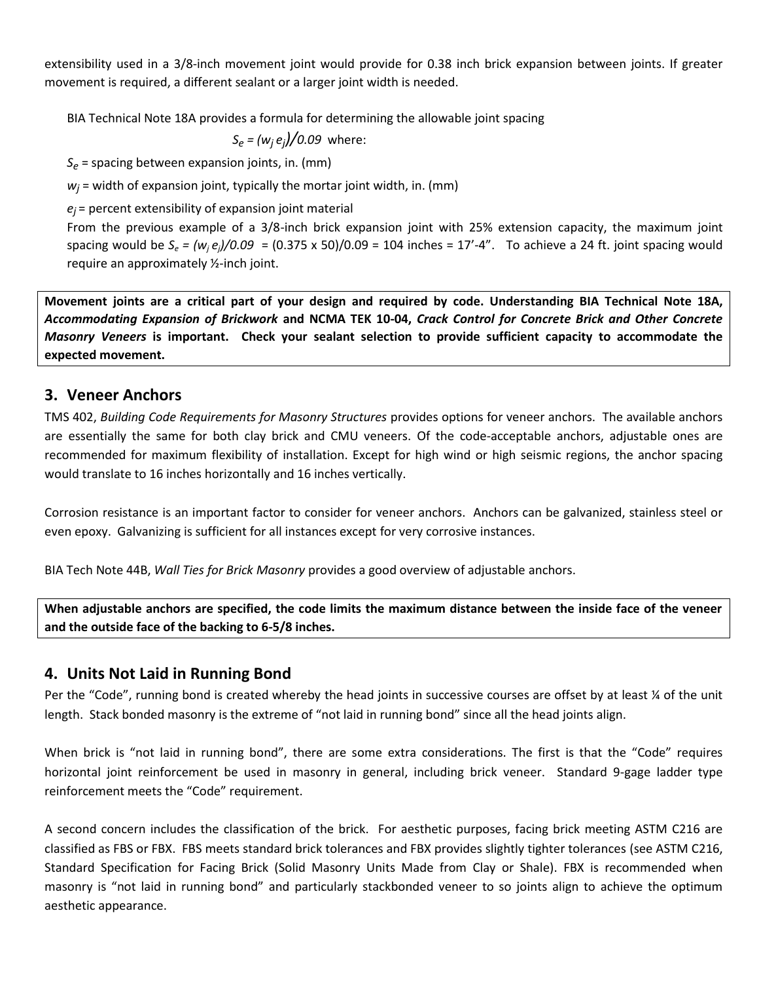extensibility used in a 3/8-inch movement joint would provide for 0.38 inch brick expansion between joints. If greater movement is required, a different sealant or a larger joint width is needed.

BIA Technical Note 18A provides a formula for determining the allowable joint spacing

 $S_e = (w_i e_i)/0.09$  where:

*Se* = spacing between expansion joints, in. (mm)

 $w_i$  = width of expansion joint, typically the mortar joint width, in. (mm)

*ej* = percent extensibility of expansion joint material

From the previous example of a 3/8-inch brick expansion joint with 25% extension capacity, the maximum joint spacing would be  $S_e = (w_i e_i)/0.09 = (0.375 \times 50)/0.09 = 104$  inches = 17'-4". To achieve a 24 ft. joint spacing would require an approximately ½-inch joint.

**Movement joints are a critical part of your design and required by code. Understanding BIA Technical Note 18A,**  *Accommodating Expansion of Brickwork* **and NCMA TEK 10-04,** *Crack Control for Concrete Brick and Other Concrete Masonry Veneers* **is important. Check your sealant selection to provide sufficient capacity to accommodate the expected movement.**

### **3. Veneer Anchors**

TMS 402, *Building Code Requirements for Masonry Structures* provides options for veneer anchors. The available anchors are essentially the same for both clay brick and CMU veneers. Of the code-acceptable anchors, adjustable ones are recommended for maximum flexibility of installation. Except for high wind or high seismic regions, the anchor spacing would translate to 16 inches horizontally and 16 inches vertically.

Corrosion resistance is an important factor to consider for veneer anchors. Anchors can be galvanized, stainless steel or even epoxy. Galvanizing is sufficient for all instances except for very corrosive instances.

BIA Tech Note 44B, *Wall Ties for Brick Masonry* provides a good overview of adjustable anchors.

**When adjustable anchors are specified, the code limits the maximum distance between the inside face of the veneer and the outside face of the backing to 6-5/8 inches.**

### **4. Units Not Laid in Running Bond**

Per the "Code", running bond is created whereby the head joints in successive courses are offset by at least % of the unit length. Stack bonded masonry is the extreme of "not laid in running bond" since all the head joints align.

When brick is "not laid in running bond", there are some extra considerations. The first is that the "Code" requires horizontal joint reinforcement be used in masonry in general, including brick veneer. Standard 9-gage ladder type reinforcement meets the "Code" requirement.

A second concern includes the classification of the brick. For aesthetic purposes, facing brick meeting ASTM C216 are classified as FBS or FBX. FBS meets standard brick tolerances and FBX provides slightly tighter tolerances (see ASTM C216, Standard Specification for Facing Brick (Solid Masonry Units Made from Clay or Shale). FBX is recommended when masonry is "not laid in running bond" and particularly stackbonded veneer to so joints align to achieve the optimum aesthetic appearance.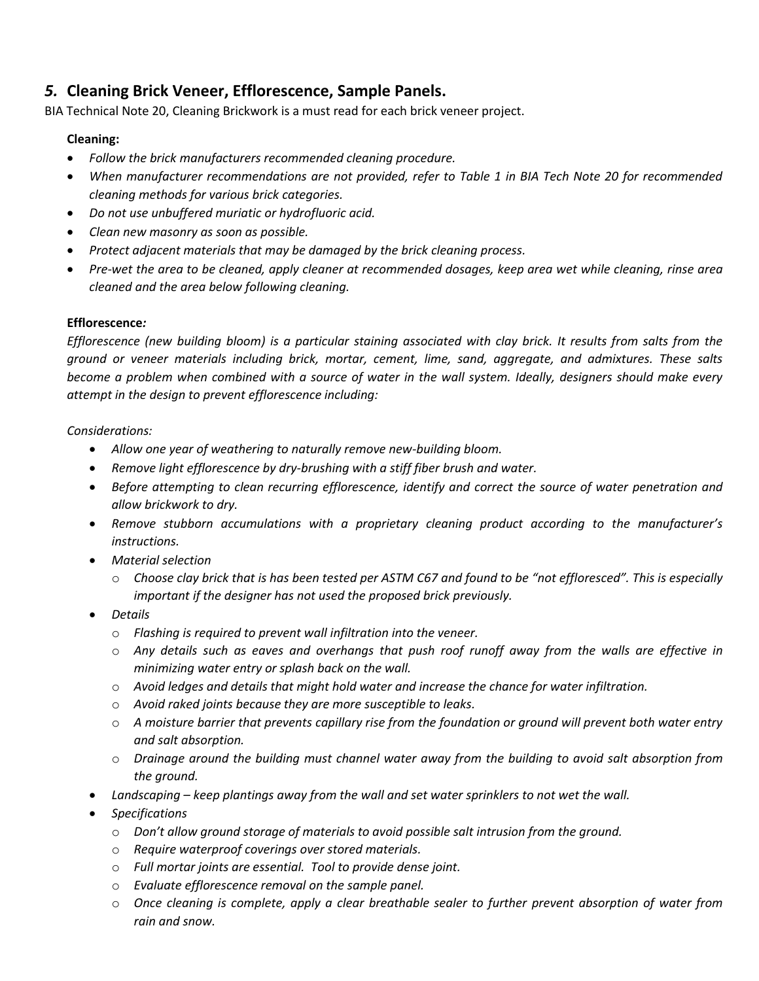### *5.* **Cleaning Brick Veneer, Efflorescence, Sample Panels.**

BIA Technical Note 20, Cleaning Brickwork is a must read for each brick veneer project.

### **Cleaning:**

- *Follow the brick manufacturers recommended cleaning procedure.*
- *When manufacturer recommendations are not provided, refer to Table 1 in BIA Tech Note 20 for recommended cleaning methods for various brick categories.*
- *Do not use unbuffered muriatic or hydrofluoric acid.*
- *Clean new masonry as soon as possible.*
- *Protect adjacent materials that may be damaged by the brick cleaning process.*
- *Pre-wet the area to be cleaned, apply cleaner at recommended dosages, keep area wet while cleaning, rinse area cleaned and the area below following cleaning.*

### **Efflorescence***:*

*Efflorescence (new building bloom) is a particular staining associated with clay brick. It results from salts from the ground or veneer materials including brick, mortar, cement, lime, sand, aggregate, and admixtures. These salts become a problem when combined with a source of water in the wall system. Ideally, designers should make every attempt in the design to prevent efflorescence including:*

### *Considerations:*

- *Allow one year of weathering to naturally remove new-building bloom.*
- *Remove light efflorescence by dry-brushing with a stiff fiber brush and water.*
- *Before attempting to clean recurring efflorescence, identify and correct the source of water penetration and allow brickwork to dry.*
- *Remove stubborn accumulations with a proprietary cleaning product according to the manufacturer's instructions.*
- *Material selection* 
	- o *Choose clay brick that is has been tested per ASTM C67 and found to be "not effloresced". This is especially important if the designer has not used the proposed brick previously.*
- *Details* 
	- o *Flashing is required to prevent wall infiltration into the veneer.*
	- o *Any details such as eaves and overhangs that push roof runoff away from the walls are effective in minimizing water entry or splash back on the wall.*
	- o *Avoid ledges and details that might hold water and increase the chance for water infiltration.*
	- o *Avoid raked joints because they are more susceptible to leaks.*
	- o *A moisture barrier that prevents capillary rise from the foundation or ground will prevent both water entry and salt absorption.*
	- o *Drainage around the building must channel water away from the building to avoid salt absorption from the ground.*
- *Landscaping – keep plantings away from the wall and set water sprinklers to not wet the wall.*
- *Specifications*
	- o *Don't allow ground storage of materials to avoid possible salt intrusion from the ground.*
	- o *Require waterproof coverings over stored materials.*
	- o *Full mortar joints are essential. Tool to provide dense joint.*
	- o *Evaluate efflorescence removal on the sample panel.*
	- o *Once cleaning is complete, apply a clear breathable sealer to further prevent absorption of water from rain and snow.*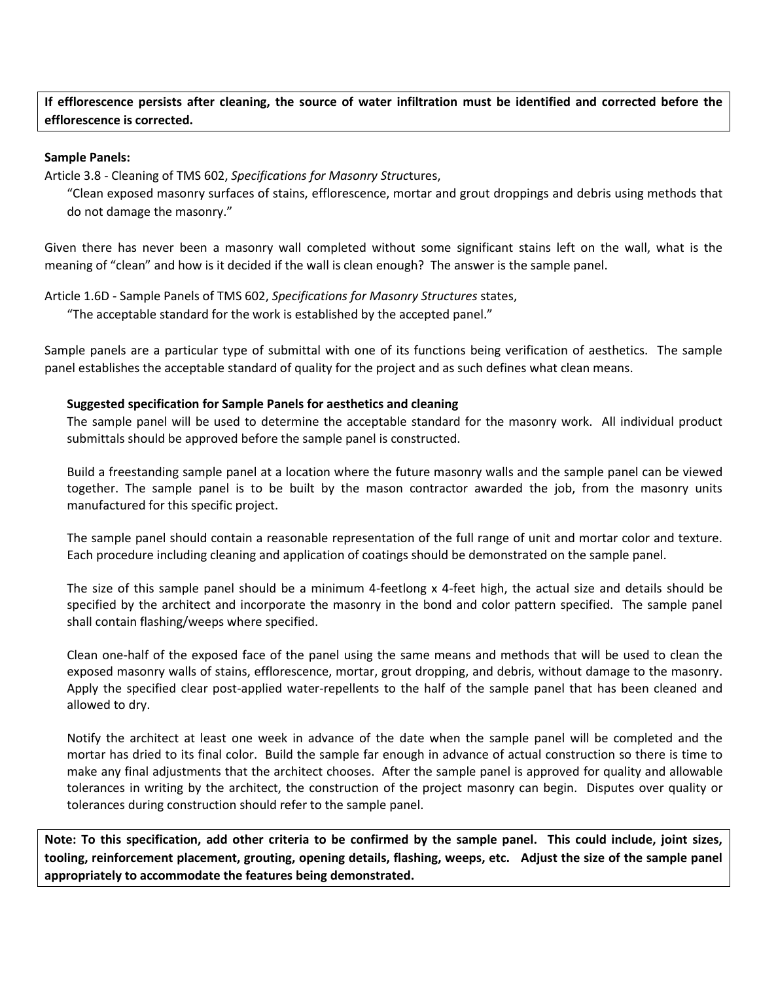**If efflorescence persists after cleaning, the source of water infiltration must be identified and corrected before the efflorescence is corrected.**

#### **Sample Panels:**

Article 3.8 - Cleaning of TMS 602, *Specifications for Masonry Struc*tures,

"Clean exposed masonry surfaces of stains, efflorescence, mortar and grout droppings and debris using methods that do not damage the masonry."

Given there has never been a masonry wall completed without some significant stains left on the wall, what is the meaning of "clean" and how is it decided if the wall is clean enough? The answer is the sample panel.

Article 1.6D - Sample Panels of TMS 602, *Specifications for Masonry Structures* states, "The acceptable standard for the work is established by the accepted panel."

Sample panels are a particular type of submittal with one of its functions being verification of aesthetics. The sample panel establishes the acceptable standard of quality for the project and as such defines what clean means.

#### **Suggested specification for Sample Panels for aesthetics and cleaning**

The sample panel will be used to determine the acceptable standard for the masonry work. All individual product submittals should be approved before the sample panel is constructed.

Build a freestanding sample panel at a location where the future masonry walls and the sample panel can be viewed together. The sample panel is to be built by the mason contractor awarded the job, from the masonry units manufactured for this specific project.

The sample panel should contain a reasonable representation of the full range of unit and mortar color and texture. Each procedure including cleaning and application of coatings should be demonstrated on the sample panel.

The size of this sample panel should be a minimum 4-feetlong x 4-feet high, the actual size and details should be specified by the architect and incorporate the masonry in the bond and color pattern specified. The sample panel shall contain flashing/weeps where specified.

Clean one-half of the exposed face of the panel using the same means and methods that will be used to clean the exposed masonry walls of stains, efflorescence, mortar, grout dropping, and debris, without damage to the masonry. Apply the specified clear post-applied water-repellents to the half of the sample panel that has been cleaned and allowed to dry.

Notify the architect at least one week in advance of the date when the sample panel will be completed and the mortar has dried to its final color. Build the sample far enough in advance of actual construction so there is time to make any final adjustments that the architect chooses. After the sample panel is approved for quality and allowable tolerances in writing by the architect, the construction of the project masonry can begin. Disputes over quality or tolerances during construction should refer to the sample panel.

**Note: To this specification, add other criteria to be confirmed by the sample panel. This could include, joint sizes, tooling, reinforcement placement, grouting, opening details, flashing, weeps, etc. Adjust the size of the sample panel appropriately to accommodate the features being demonstrated.**